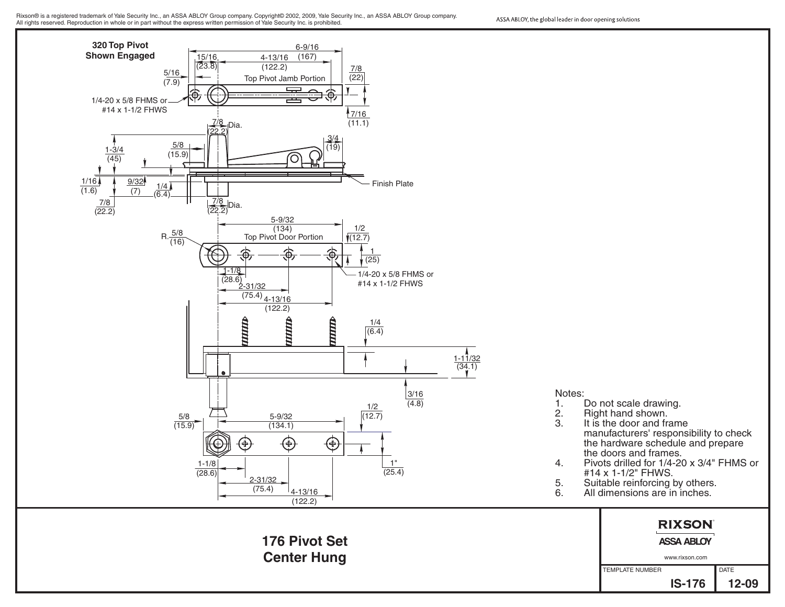

## Notes:

- 1. Do not scale drawing.<br>2. Right hand shown.<br>3. It is the door and fram
- Right hand shown.
	- It is the door and frame manufacturers' responsibility to check the hardware schedule and prepare the doors and frames.
- 4. Pivots drilled for 1/4-20 x 3/4" FHMS or #14 x 1-1/2" FHWS.
- 5. Suitable reinforcing by others.<br>6. All dimensions are in inches.
- All dimensions are in inches.

| <b>RIXSON</b>          |             |
|------------------------|-------------|
| <b>ASSA ABLOY</b>      |             |
| www.rixson.com         |             |
| <b>TEMPLATE NUMBER</b> | <b>DATE</b> |
| <b>IS-176</b>          | 12-09       |